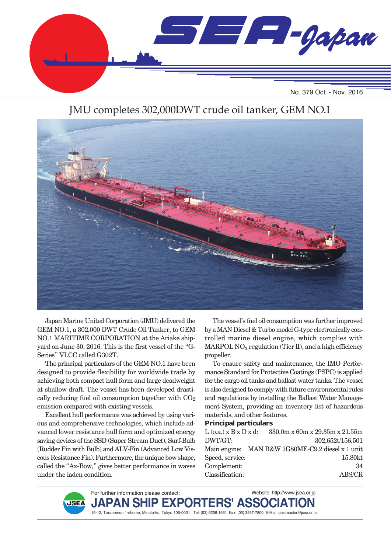

### JMU completes 302,000DWT crude oil tanker, GEM NO.1



Japan Marine United Corporation (JMU) delivered the GEM NO.1, a 302,000 DWT Crude Oil Tanker, to GEM NO.1 MARITIME CORPORATION at the Ariake shipyard on June 30, 2016. This is the first vessel of the "G-Series" VLCC called G302T.

The principal particulars of the GEM NO.1 have been designed to provide flexibility for worldwide trade by achieving both compact hull form and large deadweight at shallow draft. The vessel has been developed drastically reducing fuel oil consumption together with  $CO<sub>2</sub>$ emission compared with existing vessels.

Excellent hull performance was achieved by using various and comprehensive technologies, which include advanced lower resistance hull form and optimized energy saving devices of the SSD (Super Stream Duct), Surf-Bulb (Rudder Fin with Bulb) and ALV-Fin (Advanced Low Viscous Resistance Fin). Furthermore, the unique bow shape, called the "Ax-Bow," gives better performance in waves under the laden condition.

The vessel's fuel oil consumption was further improved by a MAN Diesel & Turbo model G-type electronically controlled marine diesel engine, which complies with MARPOL  $NO<sub>x</sub>$  regulation (Tier II), and a high efficiency propeller.

To ensure safety and maintenance, the IMO Performance Standard for Protective Coatings (PSPC) is applied for the cargo oil tanks and ballast water tanks. The vessel is also designed to comply with future environmental rules and regulations by installing the Ballast Water Management System, providing an inventory list of hazardous materials, and other features.

#### **Principal particulars**

| $L$ (o.a.) $x B x D x d$ : |  |  |                                                                                       |
|----------------------------|--|--|---------------------------------------------------------------------------------------|
|                            |  |  | 302,652t/156,501                                                                      |
|                            |  |  |                                                                                       |
| Speed, service:            |  |  | 15.80kt                                                                               |
|                            |  |  | 34                                                                                    |
|                            |  |  | ABS/CR                                                                                |
|                            |  |  | $330.0$ m x 60m x 29.35m x 21.55m<br>Main engine: MAN B&W 7G80ME-C9.2 diesel x 1 unit |

For further information please contact: Website: http://www.jsea.or.jp  $JAPAN$  SHIP  $EXPORTERS'$  ASSO **JSEA** 15-12, Toranomon 1-chome, Minato-ku, Tokyo 105-0001 Tel: (03) 6206-1661 Fax: (03) 3597-7800 E-Mail: postmaster@jsea.or.jp